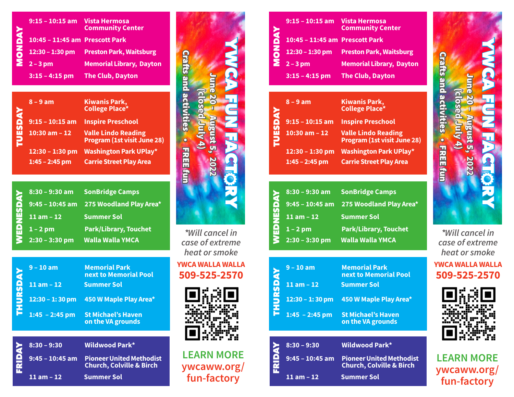|                | 9:15 - 10:15 am Vista Hermosa  | <b>Community Center</b>                 |
|----------------|--------------------------------|-----------------------------------------|
| <b>YAQ</b>     | 10:45 - 11:45 am Prescott Park |                                         |
| $\overline{5}$ |                                | 12:30 - 1:30 pm Preston Park, Waitsburg |
|                | $\sum 2 - 3$ pm                | <b>Memorial Library, Dayton</b>         |
|                | $3:15 - 4:15$ pm               | <b>The Club, Dayton</b>                 |

| <b>TAN</b><br><b>TUES</b> | $8 - 9$ am                          | <b>Kiwanis Park,</b><br><b>College Place*</b>                    |
|---------------------------|-------------------------------------|------------------------------------------------------------------|
|                           | $9:15 - 10:15$ am                   | <b>Inspire Preschool</b>                                         |
|                           | $10:30$ am $-12$                    | <b>Valle Lindo Reading</b><br><b>Program (1st visit June 28)</b> |
|                           | 12:30 - 1:30 pm<br>$1:45 - 2:45$ pm | <b>Washington Park UPlay*</b><br><b>Carrie Street Play Area</b>  |

| K | $8:30 - 9:30$ am | <b>SonBridge Camps</b>                  |
|---|------------------|-----------------------------------------|
|   |                  | 9:45 - 10:45 am 275 Woodland Play Area* |
|   | $11$ am $-12$    | <b>Summer Sol</b>                       |
|   | $1 - 2$ pm       | <b>Park/Library, Touchet</b>            |
|   | $2:30 - 3:30$ pm | <b>Walla Walla YMCA</b>                 |

|                 |                   | <b>College Place*</b>                                    |
|-----------------|-------------------|----------------------------------------------------------|
|                 | $9:15 - 10:15$ am | <b>Inspire Preschool</b>                                 |
| <b>TUESDAY</b>  | $10:30$ am $-12$  | <b>Valle Lindo Reading</b><br>Program (1st visit June 28 |
|                 | $12:30 - 1:30$ pm | <b>Washington Park UPlay*</b>                            |
|                 | $1:45 - 2:45$ pm  | <b>Carrie Street Play Area</b>                           |
|                 |                   |                                                          |
|                 | $8:30 - 9:30$ am  | <b>SonBridge Camps</b>                                   |
|                 | $9:45 - 10:45$ am | 275 Woodland Play Area*                                  |
| WEDNESDAY       | $11 am - 12$      | <b>Summer Sol</b>                                        |
|                 | $1 - 2$ pm        | <b>Park/Library, Touchet</b>                             |
|                 | $2:30 - 3:30$ pm  | <b>Walla Walla YMCA</b>                                  |
|                 |                   |                                                          |
|                 | $9 - 10$ am       | <b>Memorial Park</b><br>next to Memorial Pool            |
|                 | $11$ am $-12$     | <b>Summer Sol</b>                                        |
| <b>THURSDAY</b> | $12:30 - 1:30$ pm | 450 W Maple Play Area*                                   |
|                 | $1:45 - 2:45$ pm  | <b>St Michael's Haven</b><br>on the VA grounds           |



FRIDAY**8:30 – 9:30 Wildwood Park\* Church, Colville & Birch 9:45 – 10:45 am Pioneer United Methodist 11 am – 12 Summer Sol**

June 20 – August 5, **2022 (closed July 4) WACA FUN FACTORY fun-factory**<br>fun-factory<br>fun-factory<br>fun-factory<br>fun-factory

**\****Will cancel in case of extreme heat or smoke*

**YWCA WALLA WALLA 509-525-2570**



**LEARN MORE ywcaww.org/**